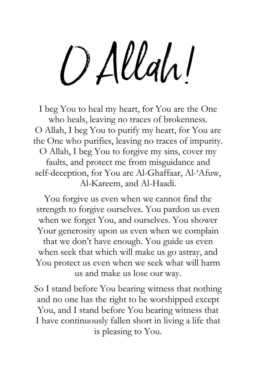O Allah!

I beg You to heal my heart, for You are the One who heals, leaving no traces of brokenness. O Allah, I beg You to purify my heart, for You are the One who purifies, leaving no traces of impurity. O Allah, I beg You to forgive my sins, cover my faults, and protect me from misguidance and self-deception, for You are Al-Ghaffaar, Al-'Afuw, Al-Kareem, and Al-Haadi.

You forgive us even when we cannot find the strength to forgive ourselves. You pardon us even when we forget You, and ourselves. You shower Your generosity upon us even when we complain that we don't have enough. You guide us even when seek that which will make us go astray, and You protect us even when we seek what will harm us and make us lose our way.

So I stand before You bearing witness that nothing and no one has the right to be worshipped except You, and I stand before You bearing witness that I have continuously fallen short in living a life that is pleasing to You.